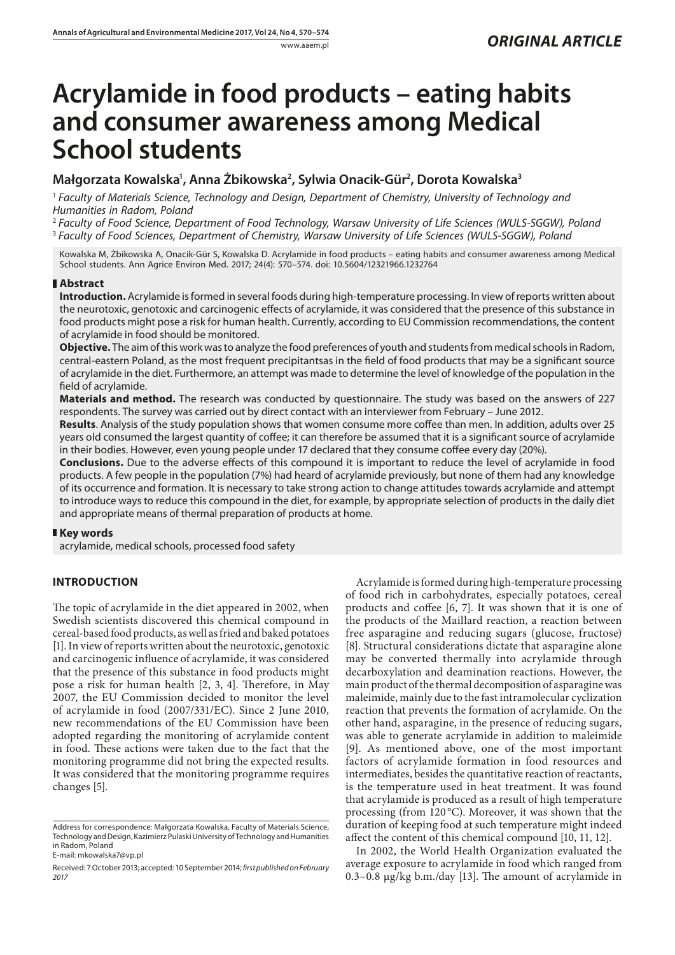# **Acrylamide in food products – eating habits and consumer awareness among Medical School students**

## **Małgorzata Kowalska1 , Anna Żbikowska2 , Sylwia Onacik-Gür2 , Dorota Kowalska3**

<sup>1</sup> *Faculty of Materials Science, Technology and Design, Department of Chemistry, University of Technology and Humanities in Radom, Poland*

<sup>2</sup> *Faculty of Food Science, Department of Food Technology, Warsaw University of Life Sciences (WULS-SGGW), Poland* <sup>3</sup> *Faculty of Food Sciences, Department of Chemistry, Warsaw University of Life Sciences (WULS-SGGW), Poland*

Kowalska M, Żbikowska A, Onacik-Gür S, Kowalska D. Acrylamide in food products – eating habits and consumer awareness among Medical School students. Ann Agrice Environ Med. 2017; 24(4): 570–574. doi: 10.5604/12321966.1232764

## **Abstract**

**Introduction.** Acrylamide is formed in several foods during high-temperature processing. In view of reports written about the neurotoxic, genotoxic and carcinogenic effects of acrylamide, it was considered that the presence of this substance in food products might pose a risk for human health. Currently, according to EU Commission recommendations, the content of acrylamide in food should be monitored.

**Objective.** The aim of this work was to analyze the food preferences of youth and students from medical schools in Radom, central-eastern Poland, as the most frequent precipitantsas in the field of food products that may be a significant source of acrylamide in the diet. Furthermore, an attempt was made to determine the level of knowledge of the population in the field of acrylamide.

**Materials and method.** The research was conducted by questionnaire. The study was based on the answers of 227 respondents. The survey was carried out by direct contact with an interviewer from February – June 2012.

**Results**. Analysis of the study population shows that women consume more coffee than men. In addition, adults over 25 years old consumed the largest quantity of coffee; it can therefore be assumed that it is a significant source of acrylamide in their bodies. However, even young people under 17 declared that they consume coffee every day (20%).

**Conclusions.** Due to the adverse effects of this compound it is important to reduce the level of acrylamide in food products. A few people in the population (7%) had heard of acrylamide previously, but none of them had any knowledge of its occurrence and formation. It is necessary to take strong action to change attitudes towards acrylamide and attempt to introduce ways to reduce this compound in the diet, for example, by appropriate selection of products in the daily diet and appropriate means of thermal preparation of products at home.

## **Key words**

acrylamide, medical schools, processed food safety

## **INTRODUCTION**

The topic of acrylamide in the diet appeared in 2002, when Swedish scientists discovered this chemical compound in cereal-based food products, as well as fried and baked potatoes [1]. In view of reports written about the neurotoxic, genotoxic and carcinogenic influence of acrylamide, it was considered that the presence of this substance in food products might pose a risk for human health [2, 3, 4]. Therefore, in May 2007, the EU Commission decided to monitor the level of acrylamide in food (2007/331/EC). Since 2 June 2010, new recommendations of the EU Commission have been adopted regarding the monitoring of acrylamide content in food. These actions were taken due to the fact that the monitoring programme did not bring the expected results. It was considered that the monitoring programme requires changes [5].

E-mail: mkowalska7@vp.pl

Acrylamide is formed during high-temperature processing of food rich in carbohydrates, especially potatoes, cereal products and coffee [6, 7]. It was shown that it is one of the products of the Maillard reaction, a reaction between free asparagine and reducing sugars (glucose, fructose) [8]. Structural considerations dictate that asparagine alone may be converted thermally into acrylamide through decarboxylation and deamination reactions. However, the main product of the thermal decomposition of asparagine was maleimide, mainly due to the fast intramolecular cyclization reaction that prevents the formation of acrylamide. On the other hand, asparagine, in the presence of reducing sugars, was able to generate acrylamide in addition to maleimide [9]. As mentioned above, one of the most important factors of acrylamide formation in food resources and intermediates, besides the quantitative reaction of reactants, is the temperature used in heat treatment. It was found that acrylamide is produced as a result of high temperature processing (from 120°C). Moreover, it was shown that the duration of keeping food at such temperature might indeed affect the content of this chemical compound [10, 11, 12].

In 2002, the World Health Organization evaluated the average exposure to acrylamide in food which ranged from 0.3–0.8 μg/kg b.m./day [13]. The amount of acrylamide in

Address for correspondence: Małgorzata Kowalska, Faculty of Materials Science, Technology and Design, Kazimierz Pulaski University of Technology and Humanities in Radom, Poland

Received: 7 October 2013; accepted: 10 September 2014; *first published on February 2017*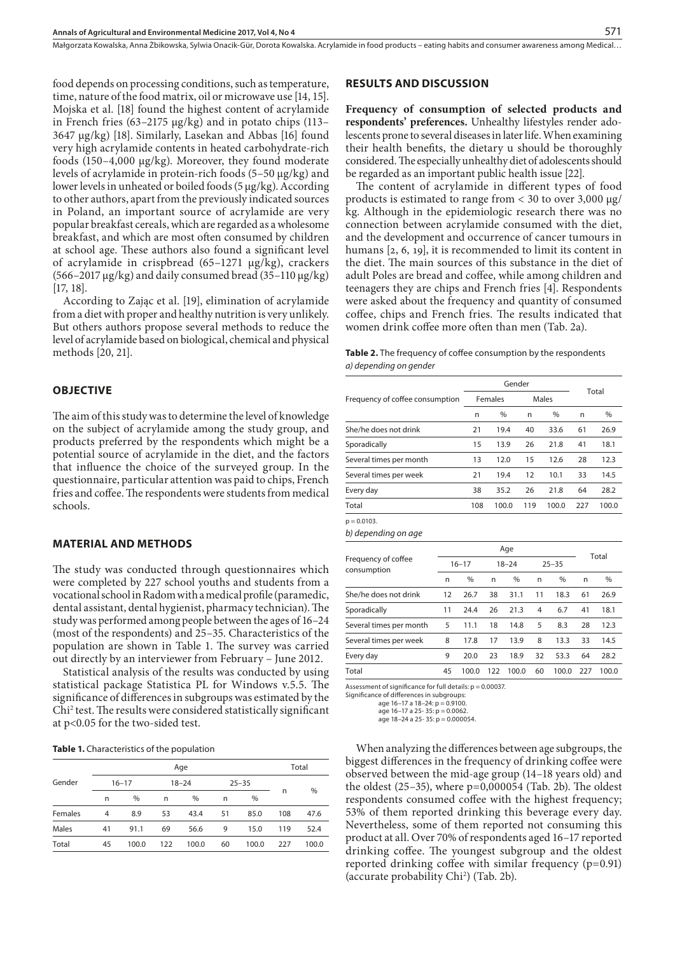Małgorzata Kowalska, Anna Żbikowska, Sylwia Onacik-Gür, Dorota Kowalska . Acrylamide in food products – eating habits and consumer awareness among Medical…

food depends on processing conditions, such as temperature, time, nature of the food matrix, oil or microwave use [14, 15]. Mojska et al. [18] found the highest content of acrylamide in French fries (63–2175 μg/kg) and in potato chips (113– 3647 μg/kg) [18]. Similarly, Lasekan and Abbas [16] found very high acrylamide contents in heated carbohydrate-rich foods (150–4,000 μg/kg). Moreover, they found moderate levels of acrylamide in protein-rich foods (5–50 μg/kg) and lower levels in unheated or boiled foods (5 μg/kg). According to other authors, apart from the previously indicated sources in Poland, an important source of acrylamide are very popular breakfast cereals, which are regarded as a wholesome breakfast, and which are most often consumed by children at school age. These authors also found a significant level of acrylamide in crispbread (65–1271 μg/kg), crackers (566–2017 μg/kg) and daily consumed bread (35–110 μg/kg) [17, 18].

According to Zając et al. [19], elimination of acrylamide from a diet with proper and healthy nutrition is very unlikely. But others authors propose several methods to reduce the level of acrylamide based on biological, chemical and physical methods [20, 21].

#### **OBJECTIVE**

The aim of this study was to determine the level of knowledge on the subject of acrylamide among the study group, and products preferred by the respondents which might be a potential source of acrylamide in the diet, and the factors that influence the choice of the surveyed group. In the questionnaire, particular attention was paid to chips, French fries and coffee. The respondents were students from medical schools.

#### **MATERIAL AND METHODS**

The study was conducted through questionnaires which were completed by 227 school youths and students from a vocational school in Radom with a medical profile (paramedic, dental assistant, dental hygienist, pharmacy technician). The study was performed among people between the ages of 16–24 (most of the respondents) and 25–35. Characteristics of the population are shown in Table 1. The survey was carried out directly by an interviewer from February – June 2012.

Statistical analysis of the results was conducted by using statistical package Statistica PL for Windows v.5.5. The significance of differences in subgroups was estimated by the Chi2 test. The results were considered statistically significant at p<0.05 for the two-sided test.

**Table 1.** Characteristics of the population

|         |           |       |     | Total     |    |               |     |       |  |
|---------|-----------|-------|-----|-----------|----|---------------|-----|-------|--|
| Gender  | $16 - 17$ |       |     | $18 - 24$ |    | $25 - 35$     |     |       |  |
|         | n         | $\%$  | n   | %         | n  | $\frac{0}{0}$ | n   | %     |  |
| Females | 4         | 8.9   | 53  | 43.4      | 51 | 85.0          | 108 | 47.6  |  |
| Males   | 41        | 91.1  | 69  | 56.6      | 9  | 15.0          | 119 | 52.4  |  |
| Total   | 45        | 100.0 | 122 | 100.0     | 60 | 100.0         | 227 | 100.0 |  |

#### **RESULTS AND DISCUSSION**

**Frequency of consumption of selected products and respondents' preferences.** Unhealthy lifestyles render adolescents prone to several diseases in later life. When examining their health benefits, the dietary u should be thoroughly considered. The especially unhealthy diet of adolescents should be regarded as an important public health issue [22].

The content of acrylamide in different types of food products is estimated to range from < 30 to over 3,000 μg/ kg. Although in the epidemiologic research there was no connection between acrylamide consumed with the diet, and the development and occurrence of cancer tumours in humans [2, 6, 19], it is recommended to limit its content in the diet. The main sources of this substance in the diet of adult Poles are bread and coffee, while among children and teenagers they are chips and French fries [4]. Respondents were asked about the frequency and quantity of consumed coffee, chips and French fries. The results indicated that women drink coffee more often than men (Tab. 2a).

|                        | <b>Table 2.</b> The frequency of coffee consumption by the respondents |  |
|------------------------|------------------------------------------------------------------------|--|
| a) depending on gender |                                                                        |  |

|                                 |     | Gender  |     | Total |     |       |  |
|---------------------------------|-----|---------|-----|-------|-----|-------|--|
| Frequency of coffee consumption |     | Females |     | Males |     |       |  |
|                                 | n   | %       | n   | $\%$  | n   | $\%$  |  |
| She/he does not drink           | 21  | 19.4    | 40  | 33.6  | 61  | 26.9  |  |
| Sporadically                    | 15  | 13.9    | 26  | 21.8  | 41  | 18.1  |  |
| Several times per month         | 13  | 12.0    | 15  | 12.6  | 28  | 12.3  |  |
| Several times per week          | 21  | 19.4    | 12  | 10.1  | 33  | 14.5  |  |
| Every day                       | 38  | 35.2    | 26  | 21.8  | 64  | 28.2  |  |
| Total                           | 108 | 100.0   | 119 | 100.0 | 227 | 100.0 |  |
|                                 |     |         |     |       |     |       |  |

*b) depending on age*

 $p = 0.0103$ .

|                                    |           |       | Total     |       |           |       |     |       |
|------------------------------------|-----------|-------|-----------|-------|-----------|-------|-----|-------|
| Frequency of coffee<br>consumption | $16 - 17$ |       | $18 - 24$ |       | $25 - 35$ |       |     |       |
|                                    | n         | %     | n         | %     | n         | $\%$  | n   | $\%$  |
| She/he does not drink              | 12        | 26.7  | 38        | 31.1  | 11        | 18.3  | 61  | 26.9  |
| Sporadically                       | 11        | 24.4  | 26        | 21.3  | 4         | 6.7   | 41  | 18.1  |
| Several times per month            | 5         | 11.1  | 18        | 14.8  | 5         | 8.3   | 28  | 12.3  |
| Several times per week             | 8         | 17.8  | 17        | 13.9  | 8         | 13.3  | 33  | 14.5  |
| Every day                          | 9         | 20.0  | 23        | 18.9  | 32        | 53.3  | 64  | 28.2  |
| Total                              | 45        | 100.0 | 122       | 100.0 | 60        | 100.0 | 227 | 100.0 |

Assessment of significance for full details: p = 0.00037.

Significance of differences in subgroups: age 16–17 a 18–24: p = 0.9100.

age  $16-17$  a  $25-35$ :  $p = 0.0062$ 

age  $18-24$  a  $25-35$ :  $p = 0.000054$ .

When analyzing the differences between age subgroups, the biggest differences in the frequency of drinking coffee were observed between the mid-age group (14–18 years old) and the oldest (25–35), where p=0,000054 (Tab. 2b). The oldest respondents consumed coffee with the highest frequency; 53% of them reported drinking this beverage every day. Nevertheless, some of them reported not consuming this product at all. Over 70% of respondents aged 16–17 reported drinking coffee. The youngest subgroup and the oldest reported drinking coffee with similar frequency (p=0.91) (accurate probability Chi2 ) (Tab. 2b).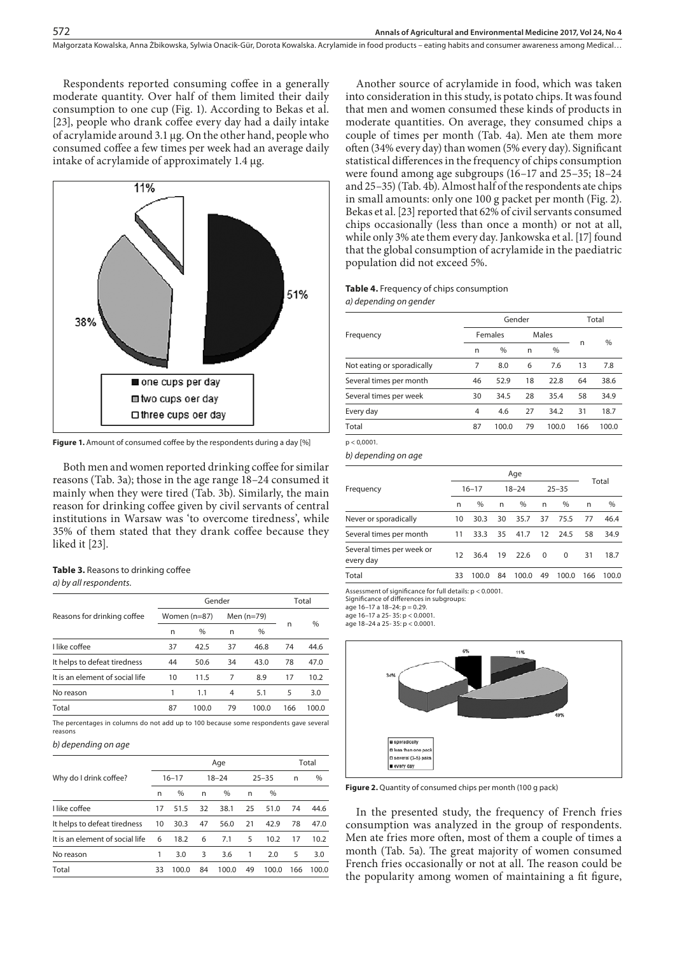Respondents reported consuming coffee in a generally moderate quantity. Over half of them limited their daily consumption to one cup (Fig. 1). According to Bekas et al. [23], people who drank coffee every day had a daily intake of acrylamide around 3.1 μg. On the other hand, people who consumed coffee a few times per week had an average daily intake of acrylamide of approximately 1.4 μg.



**Figure 1.** Amount of consumed coffee by the respondents during a day [%]

Both men and women reported drinking coffee for similar reasons (Tab. 3a); those in the age range 18–24 consumed it mainly when they were tired (Tab. 3b). Similarly, the main reason for drinking coffee given by civil servants of central institutions in Warsaw was 'to overcome tiredness', while 35% of them stated that they drank coffee because they liked it [23].

# **Table 3.** Reasons to drinking coffee

## *a) by all respondents.*

572

|                                 |    | Gender           |    | Total        |     |       |  |
|---------------------------------|----|------------------|----|--------------|-----|-------|--|
| Reasons for drinking coffee     |    | Women ( $n=87$ ) |    | Men $(n=79)$ |     |       |  |
|                                 | n  | %                | n  | %            | n   | $\%$  |  |
| I like coffee                   | 37 | 42.5             | 37 | 46.8         | 74  | 44.6  |  |
| It helps to defeat tiredness    | 44 | 50.6             | 34 | 43.0         | 78  | 47.0  |  |
| It is an element of social life | 10 | 11.5             | 7  | 8.9          | 17  | 10.2  |  |
| No reason                       | 1  | 1.1              | 4  | 5.1          | 5   | 3.0   |  |
| Total                           | 87 | 100.0            | 79 | 100.0        | 166 | 100.0 |  |

The percentages in columns do not add up to 100 because some respondents gave several reasons

#### *b) depending on age*

|                                 |    |           | Total |           |    |           |     |       |
|---------------------------------|----|-----------|-------|-----------|----|-----------|-----|-------|
| Why do I drink coffee?          |    | $16 - 17$ |       | $18 - 24$ |    | $25 - 35$ | n   | $\%$  |
|                                 | n  | $\%$      | n     | $\%$      | n  | $\%$      |     |       |
| I like coffee                   | 17 | 51.5      | 32    | 38.1      | 25 | 51.0      | 74  | 44.6  |
| It helps to defeat tiredness    | 10 | 30.3      | 47    | 56.0      | 21 | 42.9      | 78  | 47.0  |
| It is an element of social life | 6  | 18.2      | 6     | 7.1       | 5  | 10.2      | 17  | 10.2  |
| No reason                       |    | 3.0       | 3     | 3.6       |    | 2.0       | 5   | 3.0   |
| Total                           | 33 | 100.0     | 84    | 100.0     | 49 | 100.0     | 166 | 100.0 |

Another source of acrylamide in food, which was taken into consideration in this study, is potato chips. It was found that men and women consumed these kinds of products in moderate quantities. On average, they consumed chips a couple of times per month (Tab. 4a). Men ate them more often (34% every day) than women (5% every day). Significant statistical differences in the frequency of chips consumption were found among age subgroups (16–17 and 25–35; 18–24 and 25–35) (Tab. 4b). Almost half of the respondents ate chips in small amounts: only one 100 g packet per month (Fig. 2). Bekas et al. [23] reported that 62% of civil servants consumed chips occasionally (less than once a month) or not at all, while only 3% ate them every day. Jankowska et al. [17] found that the global consumption of acrylamide in the paediatric population did not exceed 5%.

#### **Table 4.** Frequency of chips consumption *a) depending on gender*

|                            |    | Gender  | Total |       |     |       |  |
|----------------------------|----|---------|-------|-------|-----|-------|--|
| Frequency                  |    | Females |       | Males |     |       |  |
|                            | n  | %       | n     | $\%$  | n   | $\%$  |  |
| Not eating or sporadically | 7  | 8.0     | 6     | 7.6   | 13  | 7.8   |  |
| Several times per month    | 46 | 52.9    | 18    | 22.8  | 64  | 38.6  |  |
| Several times per week     | 30 | 34.5    | 28    | 35.4  | 58  | 34.9  |  |
| Every day                  | 4  | 4.6     | 27    | 34.2  | 31  | 18.7  |  |
| Total                      | 87 | 100.0   | 79    | 100.0 | 166 | 100.0 |  |
|                            |    |         |       |       |     |       |  |

 $p < 0.0001$ .

*b) depending on age*

|                                        |           | Total |           |       |           |          |     |       |
|----------------------------------------|-----------|-------|-----------|-------|-----------|----------|-----|-------|
| Frequency                              | $16 - 17$ |       | $18 - 24$ |       | $25 - 35$ |          |     |       |
|                                        | n         | $\%$  | n         | $\%$  | n         | $\%$     | n   | $\%$  |
| Never or sporadically                  | 10        | 30.3  | 30        | 35.7  | 37        | 75.5     | 77  | 46.4  |
| Several times per month                | 11        | 33.3  | 35        | 41.7  | 12        | - 24.5   | 58  | 34.9  |
| Several times per week or<br>every day | 12        | 36.4  | 19        | 22.6  | $\Omega$  | $\Omega$ | 31  | 18.7  |
| Total                                  | 33        | 100.0 | 84        | 100.0 | 49        | 100.0    | 166 | 100.0 |

Assessment of significance for full details: p < 0.0001.

Significance of differences in subgroups:

age 16–17 a 18–24: p = 0.29.

age  $16-17$  a  $25-35$ :  $p < 0.0001$ age 18–24 a 25- 35: p < 0.0001.





**Figure 2.** Quantity of consumed chips per month (100 g pack)

In the presented study, the frequency of French fries consumption was analyzed in the group of respondents. Men ate fries more often, most of them a couple of times a month (Tab. 5a). The great majority of women consumed French fries occasionally or not at all. The reason could be the popularity among women of maintaining a fit figure,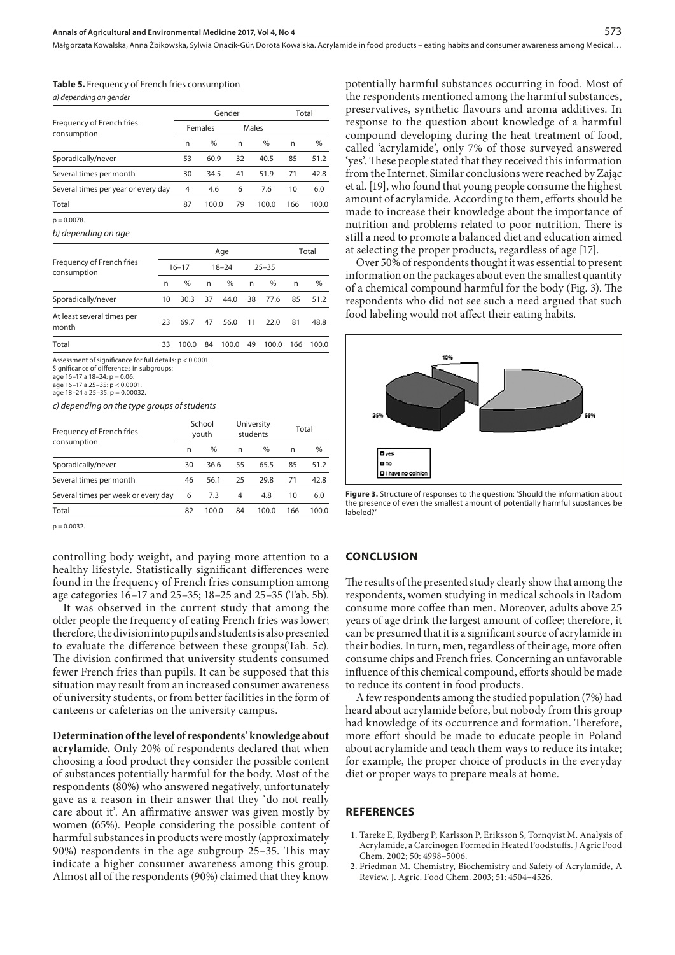Małgorzata Kowalska, Anna Żbikowska, Sylwia Onacik-Gür, Dorota Kowalska . Acrylamide in food products – eating habits and consumer awareness among Medical…

| <b>Table 5.</b> Frequency of French fries consumption |  |
|-------------------------------------------------------|--|
| a) dependina on gender                                |  |

|                                          |    | Gender  |    | Total |     |       |
|------------------------------------------|----|---------|----|-------|-----|-------|
| Frequency of French fries<br>consumption |    | Females |    | Males |     |       |
|                                          | n  | %       | n  | %     | n   | %     |
| Sporadically/never                       | 53 | 60.9    | 32 | 40.5  | 85  | 51.2  |
| Several times per month                  | 30 | 34.5    | 41 | 51.9  | 71  | 42.8  |
| Several times per year or every day      | 4  | 4.6     | 6  | 7.6   | 10  | 6.0   |
| Total                                    | 87 | 100.0   | 79 | 100.0 | 166 | 100.0 |
| $p = 0.0078$ .                           |    |         |    |       |     |       |
| $\cdots$                                 |    |         |    |       |     |       |

*b) depending on age*

|                                                          |    |           |           | Total |           |       |     |       |
|----------------------------------------------------------|----|-----------|-----------|-------|-----------|-------|-----|-------|
| Frequency of French fries<br>consumption                 |    | $16 - 17$ | $18 - 24$ |       | $25 - 35$ |       |     |       |
|                                                          | n  | $\%$      | n         | $\%$  | n         | $\%$  | n   | %     |
| Sporadically/never                                       | 10 | 30.3      | 37        | 44.0  | 38        | 77.6  | 85  | 51.2  |
| At least several times per<br>month                      | 23 | 69.7      | 47        | 56.0  | 11        | 22.0  | 81  | 48.8  |
| Total                                                    | 33 | 100.0     | 84        | 100.0 | 49        | 100.0 | 166 | 100.0 |
| Assessment of significance for full details: p < 0.0001. |    |           |           |       |           |       |     |       |

Assessment of significance for full details: p < 0.0001. Significance of differences in subgroups:

*c) depending on the type groups of students*

| Frequency of French fries           |    | School<br>youth |    | University<br>students | Total |       |
|-------------------------------------|----|-----------------|----|------------------------|-------|-------|
| consumption                         | n  | $\%$            | n  | $\%$                   | n     | $\%$  |
| Sporadically/never                  | 30 | 36.6            | 55 | 65.5                   | 85    | 51.2  |
| Several times per month             | 46 | 56.1            | 25 | 29.8                   | 71    | 42.8  |
| Several times per week or every day | 6  | 7.3             | 4  | 4.8                    | 10    | 6.0   |
| Total                               | 82 | 100.0           | 84 | 100.0                  | 166   | 100.0 |

 $p = 0.0032$ .

controlling body weight, and paying more attention to a healthy lifestyle. Statistically significant differences were found in the frequency of French fries consumption among age categories 16–17 and 25–35; 18–25 and 25–35 (Tab. 5b).

It was observed in the current study that among the older people the frequency of eating French fries was lower; therefore, the division into pupils and students is also presented to evaluate the difference between these groups(Tab. 5c). The division confirmed that university students consumed fewer French fries than pupils. It can be supposed that this situation may result from an increased consumer awareness of university students, or from better facilities in the form of canteens or cafeterias on the university campus.

**Determination of the level of respondents' knowledge about acrylamide.** Only 20% of respondents declared that when choosing a food product they consider the possible content of substances potentially harmful for the body. Most of the respondents (80%) who answered negatively, unfortunately gave as a reason in their answer that they 'do not really care about it'. An affirmative answer was given mostly by women (65%). People considering the possible content of harmful substances in products were mostly (approximately 90%) respondents in the age subgroup 25–35. This may indicate a higher consumer awareness among this group. Almost all of the respondents (90%) claimed that they know

potentially harmful substances occurring in food. Most of the respondents mentioned among the harmful substances, preservatives, synthetic flavours and aroma additives. In response to the question about knowledge of a harmful compound developing during the heat treatment of food, called 'acrylamide', only 7% of those surveyed answered 'yes'. These people stated that they received this information from the Internet. Similar conclusions were reached by Zając et al. [19], who found that young people consume the highest amount of acrylamide. According to them, efforts should be made to increase their knowledge about the importance of nutrition and problems related to poor nutrition. There is still a need to promote a balanced diet and education aimed at selecting the proper products, regardless of age [17].

Over 50% of respondents thought it was essential to present information on the packages about even the smallest quantity of a chemical compound harmful for the body (Fig. 3). The respondents who did not see such a need argued that such food labeling would not affect their eating habits.



**Figure 3.** Structure of responses to the question: 'Should the information about the presence of even the smallest amount of potentially harmful substances be labeled?'

#### **CONCLUSION**

The results of the presented study clearly show that among the respondents, women studying in medical schools in Radom consume more coffee than men. Moreover, adults above 25 years of age drink the largest amount of coffee; therefore, it can be presumed that it is a significant source of acrylamide in their bodies. In turn, men, regardless of their age, more often consume chips and French fries. Concerning an unfavorable influence of this chemical compound, efforts should be made to reduce its content in food products.

A few respondents among the studied population (7%) had heard about acrylamide before, but nobody from this group had knowledge of its occurrence and formation. Therefore, more effort should be made to educate people in Poland about acrylamide and teach them ways to reduce its intake; for example, the proper choice of products in the everyday diet or proper ways to prepare meals at home.

#### **REFERENCES**

- 1. Tareke E, Rydberg P, Karlsson P, Eriksson S, Tornqvist M. Analysis of Acrylamide, a Carcinogen Formed in Heated Foodstuffs. J Agric Food Chem. 2002; 50: 4998–5006.
- 2. Friedman M. Chemistry, Biochemistry and Safety of Acrylamide, A Review. J. Agric. Food Chem. 2003; 51: 4504–4526.

age  $16-17$  a  $18-24$ :  $p = 0.06$ .

age 16–17 a 25–35: p < 0.0001.

age 18–24 a 25–35: p = 0.00032.